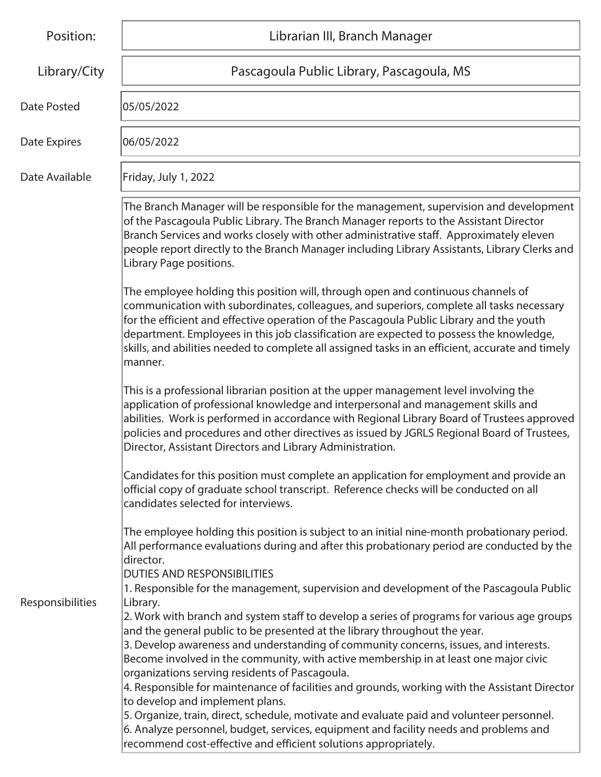| Position:          | Librarian III, Branch Manager                                                                                                                                                                                                                                                                                                                                                                                                                                                                                                                               |
|--------------------|-------------------------------------------------------------------------------------------------------------------------------------------------------------------------------------------------------------------------------------------------------------------------------------------------------------------------------------------------------------------------------------------------------------------------------------------------------------------------------------------------------------------------------------------------------------|
| Library/City       | Pascagoula Public Library, Pascagoula, MS                                                                                                                                                                                                                                                                                                                                                                                                                                                                                                                   |
| <b>Date Posted</b> | 05/05/2022                                                                                                                                                                                                                                                                                                                                                                                                                                                                                                                                                  |
| Date Expires       | 06/05/2022                                                                                                                                                                                                                                                                                                                                                                                                                                                                                                                                                  |
| Date Available     | Friday, July 1, 2022                                                                                                                                                                                                                                                                                                                                                                                                                                                                                                                                        |
|                    | The Branch Manager will be responsible for the management, supervision and development<br>of the Pascagoula Public Library. The Branch Manager reports to the Assistant Director<br>Branch Services and works closely with other administrative staff. Approximately eleven<br>people report directly to the Branch Manager including Library Assistants, Library Clerks and<br>Library Page positions.                                                                                                                                                     |
|                    | The employee holding this position will, through open and continuous channels of<br>communication with subordinates, colleagues, and superiors, complete all tasks necessary<br>for the efficient and effective operation of the Pascagoula Public Library and the youth<br>department. Employees in this job classification are expected to possess the knowledge,<br>skills, and abilities needed to complete all assigned tasks in an efficient, accurate and timely<br>manner.                                                                          |
|                    | This is a professional librarian position at the upper management level involving the<br>application of professional knowledge and interpersonal and management skills and<br>abilities. Work is performed in accordance with Regional Library Board of Trustees approved<br>policies and procedures and other directives as issued by JGRLS Regional Board of Trustees,<br>Director, Assistant Directors and Library Administration.                                                                                                                       |
|                    | Candidates for this position must complete an application for employment and provide an<br>official copy of graduate school transcript. Reference checks will be conducted on all<br>candidates selected for interviews.                                                                                                                                                                                                                                                                                                                                    |
|                    | The employee holding this position is subject to an initial nine-month probationary period.<br>All performance evaluations during and after this probationary period are conducted by the<br>director.<br><b>DUTIES AND RESPONSIBILITIES</b><br>1. Responsible for the management, supervision and development of the Pascagoula Public                                                                                                                                                                                                                     |
| Responsibilities   | Library.<br>2. Work with branch and system staff to develop a series of programs for various age groups<br>and the general public to be presented at the library throughout the year.<br>3. Develop awareness and understanding of community concerns, issues, and interests.<br>Become involved in the community, with active membership in at least one major civic<br>organizations serving residents of Pascagoula.<br>4. Responsible for maintenance of facilities and grounds, working with the Assistant Director<br>to develop and implement plans. |
|                    | 5. Organize, train, direct, schedule, motivate and evaluate paid and volunteer personnel.<br>6. Analyze personnel, budget, services, equipment and facility needs and problems and<br>recommend cost-effective and efficient solutions appropriately.                                                                                                                                                                                                                                                                                                       |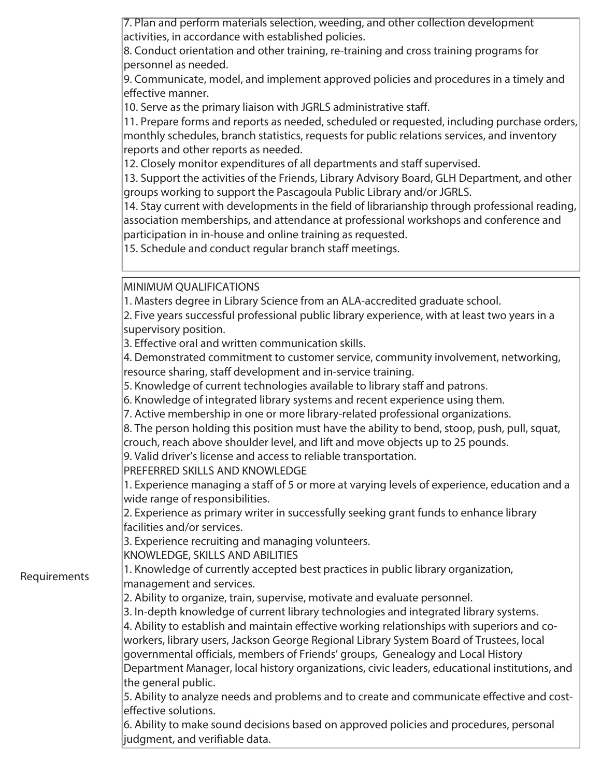| 7. Plan and perform materials selection, weeding, and other collection development |  |
|------------------------------------------------------------------------------------|--|
| activities, in accordance with established policies.                               |  |

8. Conduct orientation and other training, re-training and cross training programs for personnel as needed.

9. Communicate, model, and implement approved policies and procedures in a timely and effective manner.

10. Serve as the primary liaison with JGRLS administrative staff.

11. Prepare forms and reports as needed, scheduled or requested, including purchase orders, monthly schedules, branch statistics, requests for public relations services, and inventory reports and other reports as needed.

12. Closely monitor expenditures of all departments and staff supervised.

13. Support the activities of the Friends, Library Advisory Board, GLH Department, and other groups working to support the Pascagoula Public Library and/or JGRLS.

14. Stay current with developments in the field of librarianship through professional reading, association memberships, and attendance at professional workshops and conference and participation in in-house and online training as requested.

15. Schedule and conduct regular branch staff meetings.

MINIMUM QUALIFICATIONS

1. Masters degree in Library Science from an ALA-accredited graduate school.

2. Five years successful professional public library experience, with at least two years in a supervisory position.

3. Effective oral and written communication skills.

4. Demonstrated commitment to customer service, community involvement, networking, resource sharing, staff development and in-service training.

5. Knowledge of current technologies available to library staff and patrons.

6. Knowledge of integrated library systems and recent experience using them.

7. Active membership in one or more library-related professional organizations.

8. The person holding this position must have the ability to bend, stoop, push, pull, squat,

crouch, reach above shoulder level, and lift and move objects up to 25 pounds.

9. Valid driver's license and access to reliable transportation.

PREFERRED SKILLS AND KNOWLEDGE

1. Experience managing a staff of 5 or more at varying levels of experience, education and a wide range of responsibilities.

2. Experience as primary writer in successfully seeking grant funds to enhance library facilities and/or services.

3. Experience recruiting and managing volunteers.

KNOWLEDGE, SKILLS AND ABILITIES

Requirements

1. Knowledge of currently accepted best practices in public library organization, management and services.

2. Ability to organize, train, supervise, motivate and evaluate personnel.

3. In-depth knowledge of current library technologies and integrated library systems. 4. Ability to establish and maintain effective working relationships with superiors and coworkers, library users, Jackson George Regional Library System Board of Trustees, local governmental officials, members of Friends' groups, Genealogy and Local History Department Manager, local history organizations, civic leaders, educational institutions, and the general public.

5. Ability to analyze needs and problems and to create and communicate effective and costeffective solutions.

6. Ability to make sound decisions based on approved policies and procedures, personal judgment, and verifiable data.